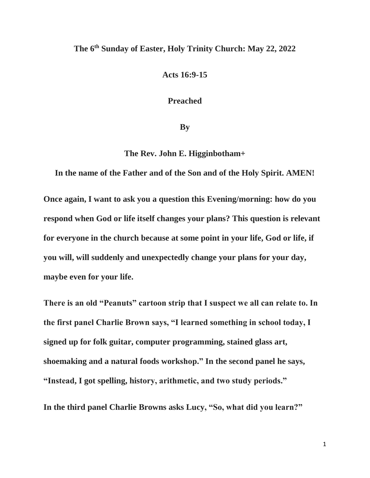## **The 6th Sunday of Easter, Holy Trinity Church: May 22, 2022**

**Acts 16:9-15**

**Preached**

**By**

**The Rev. John E. Higginbotham+**

**In the name of the Father and of the Son and of the Holy Spirit. AMEN!**

**Once again, I want to ask you a question this Evening/morning: how do you respond when God or life itself changes your plans? This question is relevant for everyone in the church because at some point in your life, God or life, if you will, will suddenly and unexpectedly change your plans for your day, maybe even for your life.**

**There is an old "Peanuts" cartoon strip that I suspect we all can relate to. In the first panel Charlie Brown says, "I learned something in school today, I signed up for folk guitar, computer programming, stained glass art, shoemaking and a natural foods workshop." In the second panel he says, "Instead, I got spelling, history, arithmetic, and two study periods."**

**In the third panel Charlie Browns asks Lucy, "So, what did you learn?"**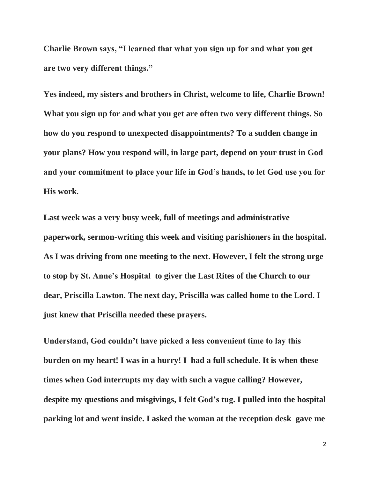**Charlie Brown says, "I learned that what you sign up for and what you get are two very different things."**

**Yes indeed, my sisters and brothers in Christ, welcome to life, Charlie Brown! What you sign up for and what you get are often two very different things. So how do you respond to unexpected disappointments? To a sudden change in your plans? How you respond will, in large part, depend on your trust in God and your commitment to place your life in God's hands, to let God use you for His work.**

**Last week was a very busy week, full of meetings and administrative paperwork, sermon-writing this week and visiting parishioners in the hospital. As I was driving from one meeting to the next. However, I felt the strong urge to stop by St. Anne's Hospital to giver the Last Rites of the Church to our dear, Priscilla Lawton. The next day, Priscilla was called home to the Lord. I just knew that Priscilla needed these prayers.**

**Understand, God couldn't have picked a less convenient time to lay this burden on my heart! I was in a hurry! I had a full schedule. It is when these times when God interrupts my day with such a vague calling? However, despite my questions and misgivings, I felt God's tug. I pulled into the hospital parking lot and went inside. I asked the woman at the reception desk gave me**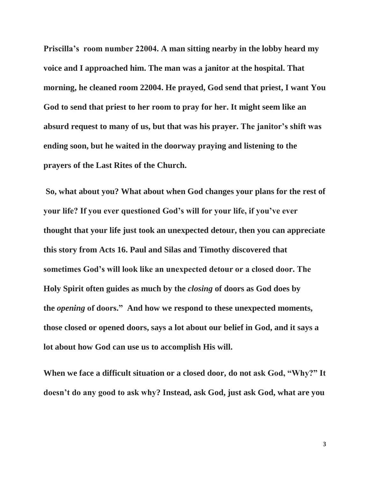**Priscilla's room number 22004. A man sitting nearby in the lobby heard my voice and I approached him. The man was a janitor at the hospital. That morning, he cleaned room 22004. He prayed, God send that priest, I want You God to send that priest to her room to pray for her. It might seem like an absurd request to many of us, but that was his prayer. The janitor's shift was ending soon, but he waited in the doorway praying and listening to the prayers of the Last Rites of the Church.**

**So, what about you? What about when God changes your plans for the rest of your life? If you ever questioned God's will for your life, if you've ever thought that your life just took an unexpected detour, then you can appreciate this story from Acts 16. Paul and Silas and Timothy discovered that sometimes God's will look like an unexpected detour or a closed door. The Holy Spirit often guides as much by the** *closing* **of doors as God does by the** *opening* **of doors." And how we respond to these unexpected moments, those closed or opened doors, says a lot about our belief in God, and it says a lot about how God can use us to accomplish His will.**

**When we face a difficult situation or a closed door, do not ask God, "Why?" It doesn't do any good to ask why? Instead, ask God, just ask God, what are you**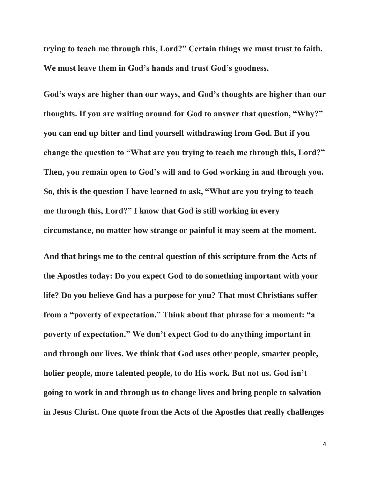**trying to teach me through this, Lord?" Certain things we must trust to faith. We must leave them in God's hands and trust God's goodness.**

**God's ways are higher than our ways, and God's thoughts are higher than our thoughts. If you are waiting around for God to answer that question, "Why?" you can end up bitter and find yourself withdrawing from God. But if you change the question to "What are you trying to teach me through this, Lord?" Then, you remain open to God's will and to God working in and through you. So, this is the question I have learned to ask, "What are you trying to teach me through this, Lord?" I know that God is still working in every circumstance, no matter how strange or painful it may seem at the moment.**

**And that brings me to the central question of this scripture from the Acts of the Apostles today: Do you expect God to do something important with your life? Do you believe God has a purpose for you? That most Christians suffer from a "poverty of expectation." Think about that phrase for a moment: "a poverty of expectation." We don't expect God to do anything important in and through our lives. We think that God uses other people, smarter people, holier people, more talented people, to do His work. But not us. God isn't going to work in and through us to change lives and bring people to salvation in Jesus Christ. One quote from the Acts of the Apostles that really challenges**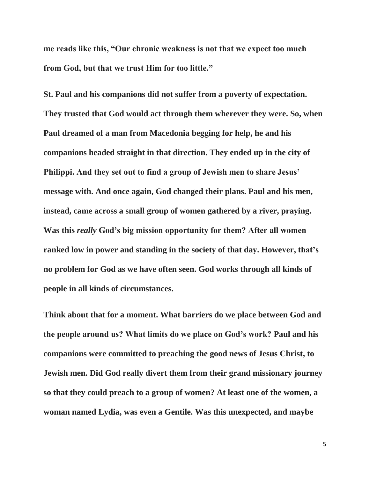**me reads like this, "Our chronic weakness is not that we expect too much from God, but that we trust Him for too little."** 

**St. Paul and his companions did not suffer from a poverty of expectation. They trusted that God would act through them wherever they were. So, when Paul dreamed of a man from Macedonia begging for help, he and his companions headed straight in that direction. They ended up in the city of Philippi. And they set out to find a group of Jewish men to share Jesus' message with. And once again, God changed their plans. Paul and his men, instead, came across a small group of women gathered by a river, praying. Was this** *really* **God's big mission opportunity for them? After all women ranked low in power and standing in the society of that day. However, that's no problem for God as we have often seen. God works through all kinds of people in all kinds of circumstances.**

**Think about that for a moment. What barriers do we place between God and the people around us? What limits do we place on God's work? Paul and his companions were committed to preaching the good news of Jesus Christ, to Jewish men. Did God really divert them from their grand missionary journey so that they could preach to a group of women? At least one of the women, a woman named Lydia, was even a Gentile. Was this unexpected, and maybe**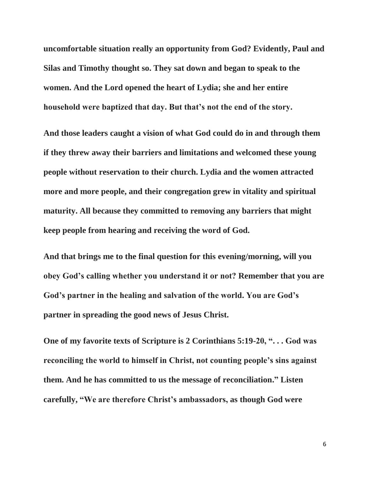**uncomfortable situation really an opportunity from God? Evidently, Paul and Silas and Timothy thought so. They sat down and began to speak to the women. And the Lord opened the heart of Lydia; she and her entire household were baptized that day. But that's not the end of the story.**

**And those leaders caught a vision of what God could do in and through them if they threw away their barriers and limitations and welcomed these young people without reservation to their church. Lydia and the women attracted more and more people, and their congregation grew in vitality and spiritual maturity. All because they committed to removing any barriers that might keep people from hearing and receiving the word of God.** 

**And that brings me to the final question for this evening/morning, will you obey God's calling whether you understand it or not? Remember that you are God's partner in the healing and salvation of the world. You are God's partner in spreading the good news of Jesus Christ.**

**One of my favorite texts of Scripture is 2 Corinthians 5:19-20, ". . . God was reconciling the world to himself in Christ, not counting people's sins against them. And he has committed to us the message of reconciliation." Listen carefully, "We are therefore Christ's ambassadors, as though God were**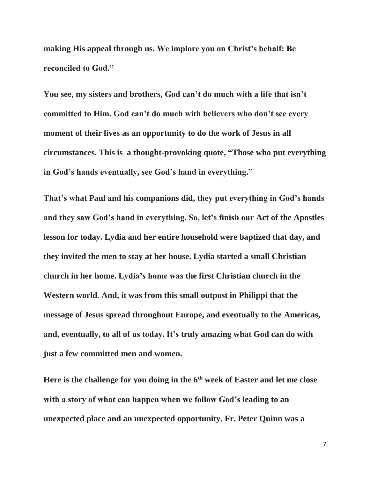**making His appeal through us. We implore you on Christ's behalf: Be reconciled to God."**

**You see, my sisters and brothers, God can't do much with a life that isn't committed to Him. God can't do much with believers who don't see every moment of their lives as an opportunity to do the work of Jesus in all circumstances. This is a thought-provoking quote, "Those who put everything in God's hands eventually, see God's hand in everything."** 

**That's what Paul and his companions did, they put everything in God's hands and they saw God's hand in everything. So, let's finish our Act of the Apostles lesson for today. Lydia and her entire household were baptized that day, and they invited the men to stay at her house. Lydia started a small Christian church in her home. Lydia's home was the first Christian church in the Western world. And, it was from this small outpost in Philippi that the message of Jesus spread throughout Europe, and eventually to the Americas, and, eventually, to all of us today. It's truly amazing what God can do with just a few committed men and women.**

**Here is the challenge for you doing in the 6th week of Easter and let me close with a story of what can happen when we follow God's leading to an unexpected place and an unexpected opportunity. Fr. Peter Quinn was a**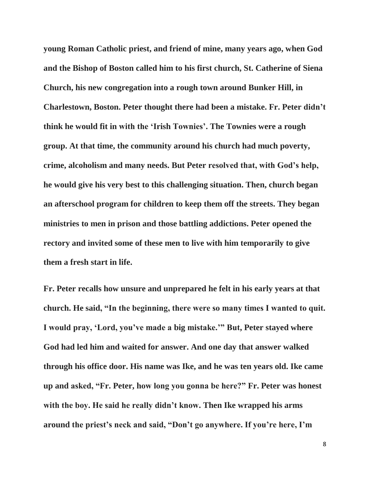**young Roman Catholic priest, and friend of mine, many years ago, when God and the Bishop of Boston called him to his first church, St. Catherine of Siena Church, his new congregation into a rough town around Bunker Hill, in Charlestown, Boston. Peter thought there had been a mistake. Fr. Peter didn't think he would fit in with the 'Irish Townies'. The Townies were a rough group. At that time, the community around his church had much poverty, crime, alcoholism and many needs. But Peter resolved that, with God's help, he would give his very best to this challenging situation. Then, church began an afterschool program for children to keep them off the streets. They began ministries to men in prison and those battling addictions. Peter opened the rectory and invited some of these men to live with him temporarily to give them a fresh start in life.**

**Fr. Peter recalls how unsure and unprepared he felt in his early years at that church. He said, "In the beginning, there were so many times I wanted to quit. I would pray, 'Lord, you've made a big mistake.'" But, Peter stayed where God had led him and waited for answer. And one day that answer walked through his office door. His name was Ike, and he was ten years old. Ike came up and asked, "Fr. Peter, how long you gonna be here?" Fr. Peter was honest with the boy. He said he really didn't know. Then Ike wrapped his arms around the priest's neck and said, "Don't go anywhere. If you're here, I'm**